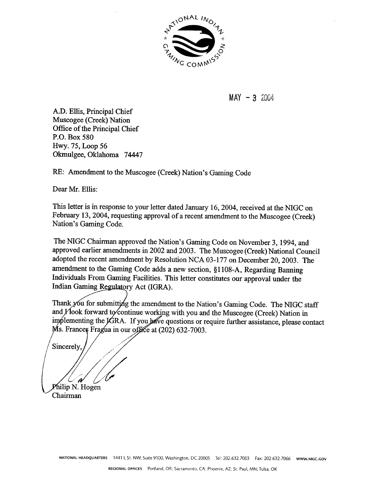

 $MAX - 3, 2004$ 

A.D. Ellis, Principal Chief Muscogee (Creek) Nation Office of the Principal Chief P.O. Box 580 Hwy. 75, Loop 56 Okmulgee, Oklahoma 74447

RE: Amendment to the Muscogee (Creek) Nation's Gaming Code

Dear Mr. Ellis:

This letter is in response to your letter dated January 16, 2004, received at the NIGC on February 13, 2004, requesting approval of a recent amendment to the Muscogee (Creek) Nation's Gaming Code.

The NIGC Chairman approved the Nation's Gaming Code on November 3, 1994, and approved earlier amendments in 2002 and 2003. The Muscogee (Creek) National Council adopted the recent amendment by Resolution NCA 03-177 on December 20, 2003. The amendment to the Gaming Code adds a new section, §1108-A, Regarding Banning Individuals From Gaming Facilities. This letter constitutes our approval under the Indian Gaming Regulatory Act (IGRA).

Thank you for submitting the amendment to the Nation's Gaming Code. The NIGC staff and *Y*look forward to continue working with you and the Muscogee (Creek) Nation in implementing the IGRA. If you have questions or require further assistance, please contact Ms. Frances Fragua in our office at (202) 632-7003.

Sincerely

Philip N. Hogen

Chairman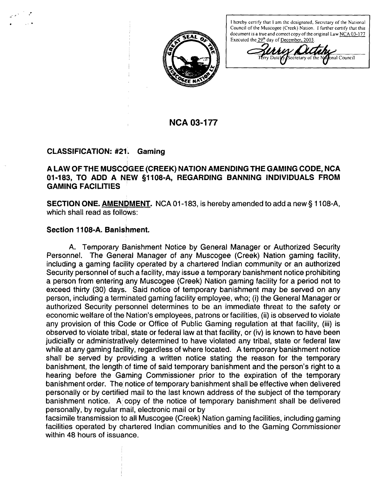

**<sup>I</sup> hereby certify that <sup>I</sup> am the designated, Secretary of the National Council of the Muscogec (Creek) Nation. <sup>I</sup> further certify that this document is <sup>a</sup> true and correct copy of the original Law NCA O3-~ <sup>77</sup> Executed the 29~ day of December, 2003**

**ccretary** of the **National** Council

# **NCA 03-177**

### **CLASSIFICATION: #21. Gaming**

# **A LAW OF THE MUSCOGEE (CREEK) NATION AMENDING THE GAMING CODE, NCA 01-183, TO ADD A NEW §1108-A, REGARDING BANNING INDIVIDUALS FROM GAMING FACILITIES**

**SECTION ONE. <u>AMENDMENT</u>.** NCA 01-183, is hereby amended to add a new § 1108-A, **which shall read as follows:**

# **Section 1108-A. Banishment.**

**A. Temporary Banishment Notice by General Manager or Authorized Security Personnel. The General Manager of any Muscogee (Creek) Nation gaming facility, including a gaming facility operated by a chartered Indian community or an authorized Security personnel of such a facility, may issue a temporary banishment notice prohibiting a person from entering any Muscogee (Creek) Nation gaming facility for a period not to exceed thirty (30) days. Said notice of temporary banishment may be served on any person, including a terminated gaming facility employee, who; (I) the General Manager or authorized Security personnel determines to be an immediate threat to the safety or economic** welfare of the Nation's employees, patrons or facilities, (ii) is observed to violate **any provision of this Code or Office of Public Gaming regulation at that facility, (iii) is observed to violate tribal, state or federal law at that facility, or (iv) is known to have been judicially or administratively determined to have violated any tribal, state or federal law while at any gaming facility, regardless of where located. A temporary banishment notice shall be served by providing a written notice stating the reason for the temporary banishment,** the length of time of said temporary banishment and the person's right to a **hearing before the Gaming Commissioner prior to the expiration of the temporary banishment order. The, notice of temporary banishment shall be effective when delivered personally or by certified mail to the last known address of the subject of the temporary banishment** notice. A copy of the notice of temporary banishment shall be delivered **personally, by regular mail, electronic mail or by**

**facsimile transmission to all Muscogee (Creek) Nation gaming facilities, including gaming facilities operated by chartered Indian communities and to the Gaming Commissioner within 48 hours of issuance.**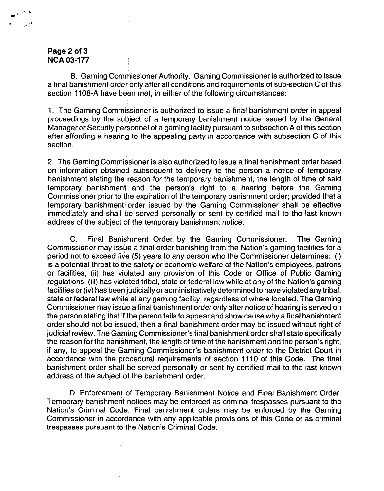### **Page 2 of 3 NCA 03-1 77**

**B. Gaming Commissioner Authority. Gaming Commissioner is authorized to issue <sup>a</sup> final banishment order~ only after all conditions and requirements of sub-section C of this section 1108-A have been met, in either of the following circumstances:**

**1. The Gaming Commissioner is authorized to issue a final banishment order in appeal proceedings by the subject of a temporary banishment notice issued by the General Manager or Security personnel of a gaming facility pursuant to subsection A of this section after affording <sup>a</sup> hearing to the appealing party in accordance with subsection C of this section.**

**2. The Gaming Commissioner is also authorized to issue a final banishment order based on information obtained subsequent to delivery to the person a notice of temporary banishment stating the <sup>~</sup> reason for the temporary banishment, the length of time of said temporary** banishment and the person's right to a hearing before the Gaming **Commissioner prior to the expiration of the temporary banishment order; provided that a temporary banishment~~ order issued by the Gaming Commissioner shall be effective immediately and shall be served personally or sent by certified mail to the last known address of the subject of the temporary banishment notice.**

**C. Final Banishment Order by the Gaming Commissioner. The Gaming Commissioner may issue a final order banishing from the Nations gaming facilities for a period not to exceed five (5) years to any person who the Commissioner determines: (i) is a potential threat to the safety or economic welfare of the Nations employees, patrons or facilities, (ii) has violated any provision of this Code or Office of Public Gaming** *regulations, (iii)* **has violated tribal, state or federal law while at any of the Nation's gaming facilities or (iv) has been judicially or administratively determined to have violated any tribal, state or federal law while at any gaming facility, regardless of where located. The Gaming Commissioner may issue a final banishment order only after notice of hearing is served on the person stating that if the person fails to appear and show cause why a final banishment order should not be issued, then a final banishment order may be issued without right of judicial review. The Gaming Commissioners final banishment order shall state specifically the reason** for the banishment, the length of time of the banishment and the person's right, **if** any, to appeal the Gaming Commissioner's banishment order to the District Court in **accordance with the procedural requirements of section 1110 of this Code. The final banishment order shall be served personally or sent by certified mail to the last known address of the subject of the banishment order.**

**D. Enforcement of Temporary Banishment Notice and Final Banishment Order. Temporary banishment notices may be enforced as criminal trespasses pursuant to the Nation's Criminal Code.** Final banishment orders may be enforced by the Gaming **Commissioner in accdrdance with any applicable provisions of this Code or as criminal trespasses** pursuant to the Nation's Criminal Code.